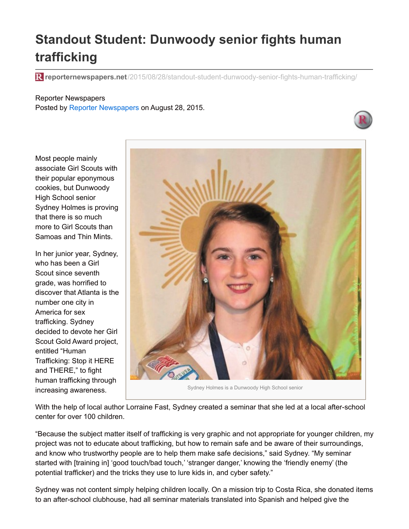## **Standout Student: Dunwoody senior fights human trafficking**

**reporternewspapers.net**[/2015/08/28/standout-student-dunwoody-senior-fights-human-trafficking/](http://www.reporternewspapers.net/2015/08/28/standout-student-dunwoody-senior-fights-human-trafficking/?utm_campaign=shareaholic&utm_medium=printfriendly&utm_source=tool)

## Reporter Newspapers

Posted by Reporter [Newspapers](http://www.reporternewspapers.net/author/reporter-newspapers/) on August 28, 2015.



Most people mainly associate Girl Scouts with their popular eponymous cookies, but Dunwoody High School senior Sydney Holmes is proving that there is so much more to Girl Scouts than Samoas and Thin Mints.

In her junior year, Sydney, who has been a Girl Scout since seventh grade, was horrified to discover that Atlanta is the number one city in America for sex trafficking. Sydney decided to devote her Girl Scout Gold Award project, entitled "Human Trafficking: Stop it HERE and THERE," to fight human trafficking through increasing awareness.



Sydney Holmes is a Dunwoody High School senior

With the help of local author Lorraine Fast, Sydney created a seminar that she led at a local after-school center for over 100 children.

"Because the subject matter itself of trafficking is very graphic and not appropriate for younger children, my project was not to educate about trafficking, but how to remain safe and be aware of their surroundings, and know who trustworthy people are to help them make safe decisions," said Sydney. "My seminar started with [training in] 'good touch/bad touch,' 'stranger danger,' knowing the 'friendly enemy' (the potential trafficker) and the tricks they use to lure kids in, and cyber safety."

Sydney was not content simply helping children locally. On a mission trip to Costa Rica, she donated items to an after-school clubhouse, had all seminar materials translated into Spanish and helped give the